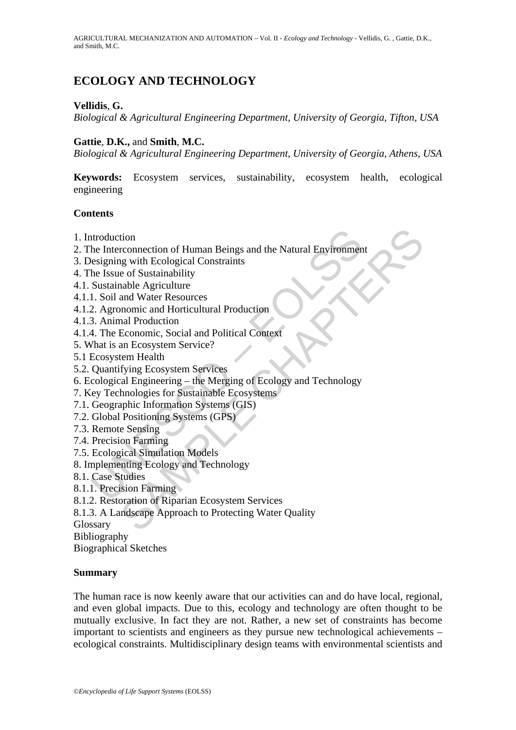# **ECOLOGY AND TECHNOLOGY**

### **Vellidis**, **G.**

*Biological & Agricultural Engineering Department, University of Georgia, Tifton, USA* 

### **Gattie**, **D.K.,** and **Smith**, **M.C.**

*Biological & Agricultural Engineering Department, University of Georgia, Athens, USA* 

**Keywords:** Ecosystem services, sustainability, ecosystem health, ecological engineering

### **Contents**

- 1. Introduction
- 2. The Interconnection of Human Beings and the Natural Environment
- 3. Designing with Ecological Constraints
- 4. The Issue of Sustainability
- 4.1. Sustainable Agriculture
- 4.1.1. Soil and Water Resources
- 4.1.2. Agronomic and Horticultural Production
- 4.1.3. Animal Production
- 4.1.4. The Economic, Social and Political Context
- 5. What is an Ecosystem Service?
- 5.1 Ecosystem Health
- 5.2. Quantifying Ecosystem Services
- ntroduction<br>
he Interconnection of Human Beings and the Natural Environmen<br>
besigning with Ecological Constraints<br>
he Issue of Sustainability<br>
Sustainable Agriculture<br>
1. Soil and Water Resources<br>
2. Agronomic and Horticul tion<br>
rconnection of Human Beings and the Natural Environment<br>
e of Sustainability<br>
e of Sustainability<br>
anable Agriculture<br>
and Water Resources<br>
and Production<br>
mal Production<br>
mal Production<br>
Economic, Social and Politic 6. Ecological Engineering – the Merging of Ecology and Technology
- 7. Key Technologies for Sustainable Ecosystems
- 7.1. Geographic Information Systems (GIS)
- 7.2. Global Positioning Systems (GPS)
- 7.3. Remote Sensing
- 7.4. Precision Farming
- 7.5. Ecological Simulation Models
- 8. Implementing Ecology and Technology
- 8.1. Case Studies
- 8.1.1. Precision Farming
- 8.1.2. Restoration of Riparian Ecosystem Services
- 8.1.3. A Landscape Approach to Protecting Water Quality
- Glossary
- Bibliography

Biographical Sketches

### **Summary**

The human race is now keenly aware that our activities can and do have local, regional, and even global impacts. Due to this, ecology and technology are often thought to be mutually exclusive. In fact they are not. Rather, a new set of constraints has become important to scientists and engineers as they pursue new technological achievements – ecological constraints. Multidisciplinary design teams with environmental scientists and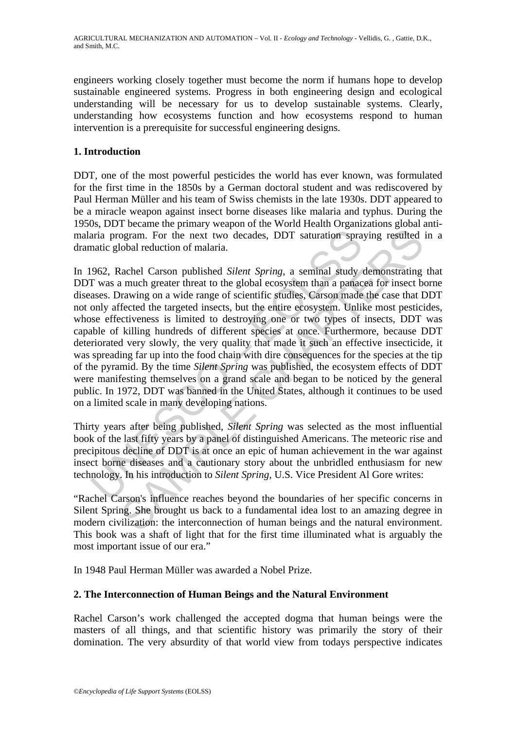engineers working closely together must become the norm if humans hope to develop sustainable engineered systems. Progress in both engineering design and ecological understanding will be necessary for us to develop sustainable systems. Clearly, understanding how ecosystems function and how ecosystems respond to human intervention is a prerequisite for successful engineering designs.

### **1. Introduction**

DDT, one of the most powerful pesticides the world has ever known, was formulated for the first time in the 1850s by a German doctoral student and was rediscovered by Paul Herman Müller and his team of Swiss chemists in the late 1930s. DDT appeared to be a miracle weapon against insect borne diseases like malaria and typhus. During the 1950s, DDT became the primary weapon of the World Health Organizations global antimalaria program. For the next two decades, DDT saturation spraying resulted in a dramatic global reduction of malaria.

aria program. For the next two decades, DDT saturation sprantic global reduction of malaria.<br>962, Rachel Carson published *Silent Spring*, a seminal study T was a much greater threat to the global ecosystem than a panaceae ogram. For the next two decades, DDT saturation spraying resulted<br>colar reduction of malaria.<br>
Rachel Carson published *Silent Spring*, a seminal study demonstrating<br>
a much greater threat to the global ecosystem than a pa In 1962, Rachel Carson published *Silent Spring*, a seminal study demonstrating that DDT was a much greater threat to the global ecosystem than a panacea for insect borne diseases. Drawing on a wide range of scientific studies, Carson made the case that DDT not only affected the targeted insects, but the entire ecosystem. Unlike most pesticides, whose effectiveness is limited to destroying one or two types of insects, DDT was capable of killing hundreds of different species at once. Furthermore, because DDT deteriorated very slowly, the very quality that made it such an effective insecticide, it was spreading far up into the food chain with dire consequences for the species at the tip of the pyramid. By the time *Silent Spring* was published, the ecosystem effects of DDT were manifesting themselves on a grand scale and began to be noticed by the general public. In 1972, DDT was banned in the United States, although it continues to be used on a limited scale in many developing nations.

Thirty years after being published, *Silent Spring* was selected as the most influential book of the last fifty years by a panel of distinguished Americans. The meteoric rise and precipitous decline of DDT is at once an epic of human achievement in the war against insect borne diseases and a cautionary story about the unbridled enthusiasm for new technology. In his introduction to *Silent Spring*, U.S. Vice President Al Gore writes:

"Rachel Carson's influence reaches beyond the boundaries of her specific concerns in Silent Spring. She brought us back to a fundamental idea lost to an amazing degree in modern civilization: the interconnection of human beings and the natural environment. This book was a shaft of light that for the first time illuminated what is arguably the most important issue of our era."

In 1948 Paul Herman Müller was awarded a Nobel Prize.

### **2. The Interconnection of Human Beings and the Natural Environment**

Rachel Carson's work challenged the accepted dogma that human beings were the masters of all things, and that scientific history was primarily the story of their domination. The very absurdity of that world view from todays perspective indicates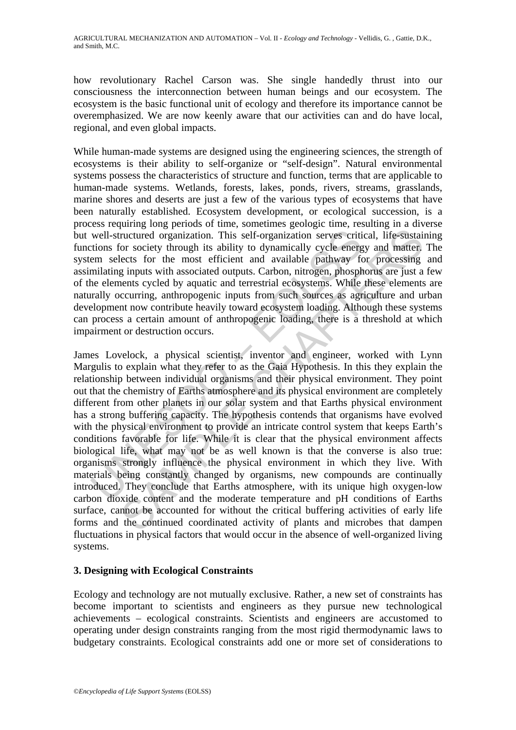how revolutionary Rachel Carson was. She single handedly thrust into our consciousness the interconnection between human beings and our ecosystem. The ecosystem is the basic functional unit of ecology and therefore its importance cannot be overemphasized. We are now keenly aware that our activities can and do have local, regional, and even global impacts.

While human-made systems are designed using the engineering sciences, the strength of ecosystems is their ability to self-organize or "self-design". Natural environmental systems possess the characteristics of structure and function, terms that are applicable to human-made systems. Wetlands, forests, lakes, ponds, rivers, streams, grasslands, marine shores and deserts are just a few of the various types of ecosystems that have been naturally established. Ecosystem development, or ecological succession, is a process requiring long periods of time, sometimes geologic time, resulting in a diverse but well-structured organization. This self-organization serves critical, life-sustaining functions for society through its ability to dynamically cycle energy and matter. The system selects for the most efficient and available pathway for processing and assimilating inputs with associated outputs. Carbon, nitrogen, phosphorus are just a few of the elements cycled by aquatic and terrestrial ecosystems. While these elements are naturally occurring, anthropogenic inputs from such sources as agriculture and urban development now contribute heavily toward ecosystem loading. Although these systems can process a certain amount of anthropogenic loading, there is a threshold at which impairment or destruction occurs.

well-structured organization. This self-organization serves criticions for society through its ability to dynamically cycle energem selects for the most efficient and available pathway for<br>inditing inputs with associated o ructured organization. This self-organization serves critical, life-sustain<br>or society through its ability to dynamically cycle energy and matter,<br>lects for the most efficient and available pathway for processing<br>g inputs James Lovelock, a physical scientist, inventor and engineer, worked with Lynn Margulis to explain what they refer to as the Gaia Hypothesis. In this they explain the relationship between individual organisms and their physical environment. They point out that the chemistry of Earths atmosphere and its physical environment are completely different from other planets in our solar system and that Earths physical environment has a strong buffering capacity. The hypothesis contends that organisms have evolved with the physical environment to provide an intricate control system that keeps Earth's conditions favorable for life. While it is clear that the physical environment affects biological life, what may not be as well known is that the converse is also true: organisms strongly influence the physical environment in which they live. With materials being constantly changed by organisms, new compounds are continually introduced. They conclude that Earths atmosphere, with its unique high oxygen-low carbon dioxide content and the moderate temperature and pH conditions of Earths surface, cannot be accounted for without the critical buffering activities of early life forms and the continued coordinated activity of plants and microbes that dampen fluctuations in physical factors that would occur in the absence of well-organized living systems.

### **3. Designing with Ecological Constraints**

Ecology and technology are not mutually exclusive. Rather, a new set of constraints has become important to scientists and engineers as they pursue new technological achievements – ecological constraints. Scientists and engineers are accustomed to operating under design constraints ranging from the most rigid thermodynamic laws to budgetary constraints. Ecological constraints add one or more set of considerations to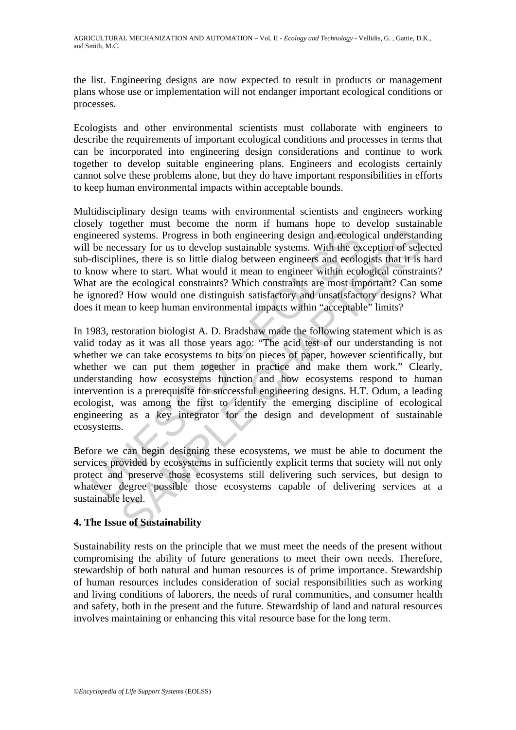the list. Engineering designs are now expected to result in products or management plans whose use or implementation will not endanger important ecological conditions or processes.

Ecologists and other environmental scientists must collaborate with engineers to describe the requirements of important ecological conditions and processes in terms that can be incorporated into engineering design considerations and continue to work together to develop suitable engineering plans. Engineers and ecologists certainly cannot solve these problems alone, but they do have important responsibilities in efforts to keep human environmental impacts within acceptable bounds.

Multidisciplinary design teams with environmental scientists and engineers working closely together must become the norm if humans hope to develop sustainable engineered systems. Progress in both engineering design and ecological understanding will be necessary for us to develop sustainable systems. With the exception of selected sub-disciplines, there is so little dialog between engineers and ecologists that it is hard to know where to start. What would it mean to engineer within ecological constraints? What are the ecological constraints? Which constraints are most important? Can some be ignored? How would one distinguish satisfactory and unsatisfactory designs? What does it mean to keep human environmental impacts within "acceptable" limits?

ineered systems. Progress in both engineering design and ecolog<br>be necessary for us to develop sustainable systems. With the ex<br>disciplines, there is so little dialog between engineers and ecolo<br>now where to start. What wo systems. Progress in both engineering design and ecological understancessary for us to develop sustainable systems. With the exception of selemes, there is so little dialog between engineers and ecological constraints henc In 1983, restoration biologist A. D. Bradshaw made the following statement which is as valid today as it was all those years ago: "The acid test of our understanding is not whether we can take ecosystems to bits on pieces of paper, however scientifically, but whether we can put them together in practice and make them work." Clearly, understanding how ecosystems function and how ecosystems respond to human intervention is a prerequisite for successful engineering designs. H.T. Odum, a leading ecologist, was among the first to identify the emerging discipline of ecological engineering as a key integrator for the design and development of sustainable ecosystems.

Before we can begin designing these ecosystems, we must be able to document the services provided by ecosystems in sufficiently explicit terms that society will not only protect and preserve those ecosystems still delivering such services, but design to whatever degree possible those ecosystems capable of delivering services at a sustainable level.

### **4. The Issue of Sustainability**

Sustainability rests on the principle that we must meet the needs of the present without compromising the ability of future generations to meet their own needs. Therefore, stewardship of both natural and human resources is of prime importance. Stewardship of human resources includes consideration of social responsibilities such as working and living conditions of laborers, the needs of rural communities, and consumer health and safety, both in the present and the future. Stewardship of land and natural resources involves maintaining or enhancing this vital resource base for the long term.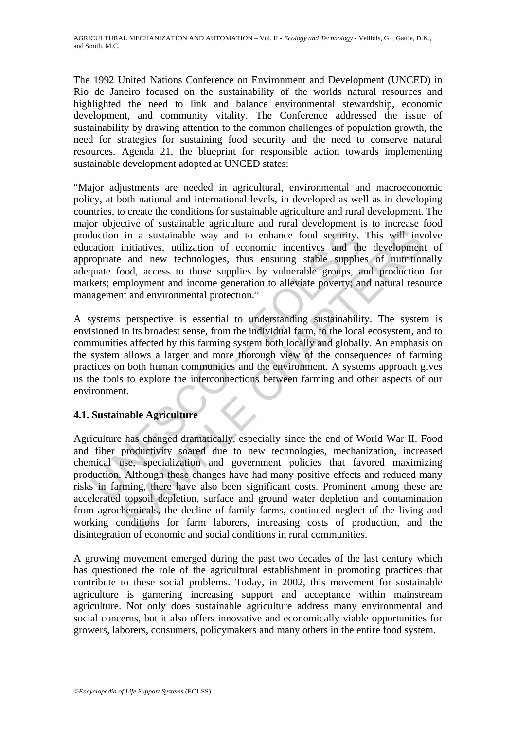The 1992 United Nations Conference on Environment and Development (UNCED) in Rio de Janeiro focused on the sustainability of the worlds natural resources and highlighted the need to link and balance environmental stewardship, economic development, and community vitality. The Conference addressed the issue of sustainability by drawing attention to the common challenges of population growth, the need for strategies for sustaining food security and the need to conserve natural resources. Agenda 21, the blueprint for responsible action towards implementing sustainable development adopted at UNCED states:

"Major adjustments are needed in agricultural, environmental and macroeconomic policy, at both national and international levels, in developed as well as in developing countries, to create the conditions for sustainable agriculture and rural development. The major objective of sustainable agriculture and rural development is to increase food production in a sustainable way and to enhance food security. This will involve education initiatives, utilization of economic incentives and the development of appropriate and new technologies, thus ensuring stable supplies of nutritionally adequate food, access to those supplies by vulnerable groups, and production for markets; employment and income generation to alleviate poverty; and natural resource management and environmental protection."

duction in a sustainable way and to enhance food security.<br>
Curation initiatives, utilization of economic incentives and the<br>
oppriate and new technologies, thus ensuring stable supplie<br>
quate food, access to those supplie A systems perspective is essential to understanding sustainability. The system is envisioned in its broadest sense, from the individual farm, to the local ecosystem, and to communities affected by this farming system both locally and globally. An emphasis on the system allows a larger and more thorough view of the consequences of farming practices on both human communities and the environment. A systems approach gives us the tools to explore the interconnections between farming and other aspects of our environment.

## **4.1. Sustainable Agriculture**

in a sustainable way and to enhance food security. This will invinitiatives, utilization of economic incentives and the development and new technologies, thus ensuring stable supplies of nutifitor mployment and income gene Agriculture has changed dramatically, especially since the end of World War II. Food and fiber productivity soared due to new technologies, mechanization, increased chemical use, specialization and government policies that favored maximizing production. Although these changes have had many positive effects and reduced many risks in farming, there have also been significant costs. Prominent among these are accelerated topsoil depletion, surface and ground water depletion and contamination from agrochemicals, the decline of family farms, continued neglect of the living and working conditions for farm laborers, increasing costs of production, and the disintegration of economic and social conditions in rural communities.

A growing movement emerged during the past two decades of the last century which has questioned the role of the agricultural establishment in promoting practices that contribute to these social problems. Today, in 2002, this movement for sustainable agriculture is garnering increasing support and acceptance within mainstream agriculture. Not only does sustainable agriculture address many environmental and social concerns, but it also offers innovative and economically viable opportunities for growers, laborers, consumers, policymakers and many others in the entire food system.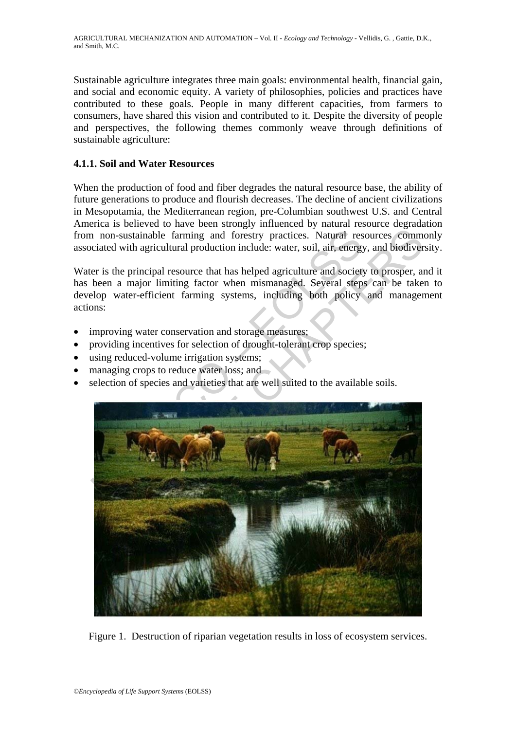Sustainable agriculture integrates three main goals: environmental health, financial gain, and social and economic equity. A variety of philosophies, policies and practices have contributed to these goals. People in many different capacities, from farmers to consumers, have shared this vision and contributed to it. Despite the diversity of people and perspectives, the following themes commonly weave through definitions of sustainable agriculture:

## **4.1.1. Soil and Water Resources**

When the production of food and fiber degrades the natural resource base, the ability of future generations to produce and flourish decreases. The decline of ancient civilizations in Mesopotamia, the Mediterranean region, pre-Columbian southwest U.S. and Central America is believed to have been strongly influenced by natural resource degradation from non-sustainable farming and forestry practices. Natural resources commonly associated with agricultural production include: water, soil, air, energy, and biodiversity.

Water is the principal resource that has helped agriculture and society to prosper, and it has been a major limiting factor when mismanaged. Several steps can be taken to develop water-efficient farming systems, including both policy and management actions:

- improving water conservation and storage measures;
- providing incentives for selection of drought-tolerant crop species;
- using reduced-volume irrigation systems;
- managing crops to reduce water loss; and
- selection of species and varieties that are well suited to the available soils.



Figure 1. Destruction of riparian vegetation results in loss of ecosystem services.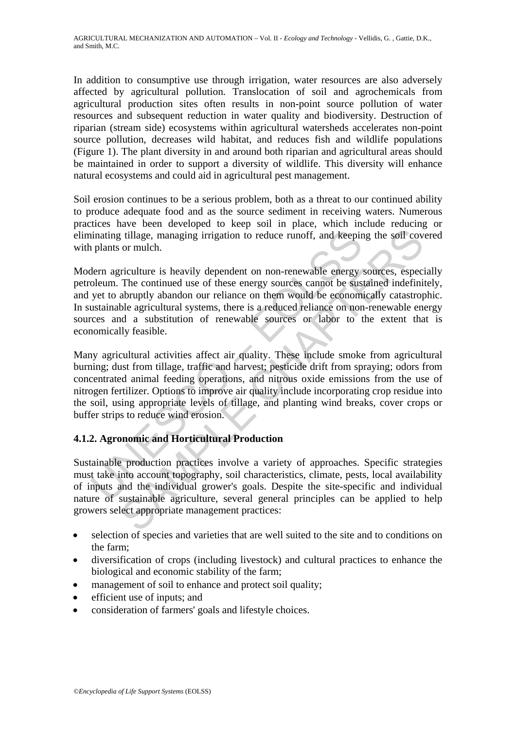In addition to consumptive use through irrigation, water resources are also adversely affected by agricultural pollution. Translocation of soil and agrochemicals from agricultural production sites often results in non-point source pollution of water resources and subsequent reduction in water quality and biodiversity. Destruction of riparian (stream side) ecosystems within agricultural watersheds accelerates non-point source pollution, decreases wild habitat, and reduces fish and wildlife populations (Figure 1). The plant diversity in and around both riparian and agricultural areas should be maintained in order to support a diversity of wildlife. This diversity will enhance natural ecosystems and could aid in agricultural pest management.

Soil erosion continues to be a serious problem, both as a threat to our continued ability to produce adequate food and as the source sediment in receiving waters. Numerous practices have been developed to keep soil in place, which include reducing or eliminating tillage, managing irrigation to reduce runoff, and keeping the soil covered with plants or mulch.

Modern agriculture is heavily dependent on non-renewable energy sources, especially petroleum. The continued use of these energy sources cannot be sustained indefinitely, and yet to abruptly abandon our reliance on them would be economically catastrophic. In sustainable agricultural systems, there is a reduced reliance on non-renewable energy sources and a substitution of renewable sources or labor to the extent that is economically feasible.

inating tillage, managing irrigation to reduce runoff, and keepir<br>
plants or mulch.<br>
Idern agriculture is heavily dependent on non-renewable energy<br>
oleum. The continued use of these energy sources cannot be sus<br>
yet to ab is tillage, managing irrigation to reduce runoff, and keeping the soil cov<br>or mulch.<br>Triculture is heavily dependent on non-renewable energy sources, espect<br>The continued use of these energy sources cannot be sustained ind Many agricultural activities affect air quality. These include smoke from agricultural burning; dust from tillage, traffic and harvest; pesticide drift from spraying; odors from concentrated animal feeding operations, and nitrous oxide emissions from the use of nitrogen fertilizer. Options to improve air quality include incorporating crop residue into the soil, using appropriate levels of tillage, and planting wind breaks, cover crops or buffer strips to reduce wind erosion.

## **4.1.2. Agronomic and Horticultural Production**

Sustainable production practices involve a variety of approaches. Specific strategies must take into account topography, soil characteristics, climate, pests, local availability of inputs and the individual grower's goals. Despite the site-specific and individual nature of sustainable agriculture, several general principles can be applied to help growers select appropriate management practices:

- selection of species and varieties that are well suited to the site and to conditions on the farm;
- diversification of crops (including livestock) and cultural practices to enhance the biological and economic stability of the farm;
- management of soil to enhance and protect soil quality;
- efficient use of inputs; and
- consideration of farmers' goals and lifestyle choices.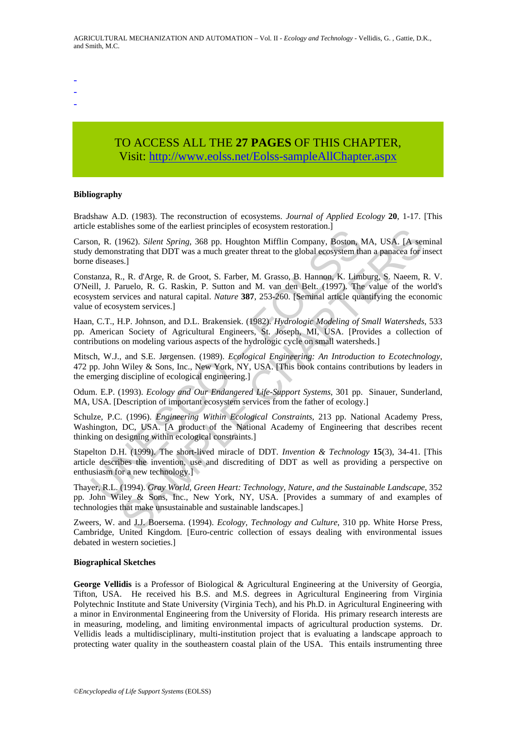- -
- -

# TO ACCESS ALL THE **27 PAGES** OF THIS CHAPTER, Visi[t: http://www.eolss.net/Eolss-sampleAllChapter.aspx](https://www.eolss.net/ebooklib/sc_cart.aspx?File=E5-11-04-01)

#### **Bibliography**

Bradshaw A.D. (1983). The reconstruction of ecosystems. *Journal of Applied Ecology* **20**, 1-17. [This article establishes some of the earliest principles of ecosystem restoration.]

Carson, R. (1962). *Silent Spring*, 368 pp. Houghton Mifflin Company, Boston, MA, USA. [A seminal study demonstrating that DDT was a much greater threat to the global ecosystem than a panacea for insect borne diseases.]

on, R. (1962). *Silent Spiring*, 368 pp. Houghton Mifflin Company, Boston, bon, R. (1962). *Silent Spring*, 368 pp. Houghton Mifflin Company, Boston, b. chemostrating that DDT was a much greater threat to the global ecosys sites some of the termine, Book experimentation.]<br>
1962). Silent Spring, 368 pp. Houghton Mifflin Company, Boston, MA, USA. [A set<br>
strating that DDT was a much greater threat to the global ecosystem than a panacea for is. Constanza, R., R. d'Arge, R. de Groot, S. Farber, M. Grasso, B. Hannon, K. Limburg, S. Naeem, R. V. O'Neill, J. Paruelo, R. G. Raskin, P. Sutton and M. van den Belt. (1997). The value of the world's ecosystem services and natural capital. *Nature* **387**, 253-260. [Seminal article quantifying the economic value of ecosystem services.]

Haan, C.T., H.P. Johnson, and D.L. Brakensiek. (1982). *Hydrologic Modeling of Small Watersheds*, 533 pp. American Society of Agricultural Engineers, St. Joseph, MI, USA. [Provides a collection of contributions on modeling various aspects of the hydrologic cycle on small watersheds.]

Mitsch, W.J., and S.E. Jørgensen. (1989). *Ecological Engineering: An Introduction to Ecotechnology*, 472 pp. John Wiley & Sons, Inc., New York, NY, USA. [This book contains contributions by leaders in the emerging discipline of ecological engineering.]

Odum. E.P. (1993). *Ecology and Our Endangered Life-Support Systems*, 301 pp. Sinauer, Sunderland, MA, USA. [Description of important ecosystem services from the father of ecology.]

Schulze, P.C. (1996). *Engineering Within Ecological Constraints*, 213 pp. National Academy Press, Washington, DC, USA. [A product of the National Academy of Engineering that describes recent thinking on designing within ecological constraints.]

Stapelton D.H. (1999). The short-lived miracle of DDT. *Invention & Technology* **15**(3), 34-41. [This article describes the invention, use and discrediting of DDT as well as providing a perspective on enthusiasm for a new technology.]

Thayer, R.L. (1994). *Gray World, Green Heart: Technology, Nature, and the Sustainable Landscape*, 352 pp. John Wiley & Sons, Inc., New York, NY, USA. [Provides a summary of and examples of technologies that make unsustainable and sustainable landscapes.]

Zweers, W. and J.J. Boersema. (1994). *Ecology, Technology and Culture*, 310 pp. White Horse Press, Cambridge, United Kingdom. [Euro-centric collection of essays dealing with environmental issues debated in western societies.]

#### **Biographical Sketches**

**George Vellidis** is a Professor of Biological & Agricultural Engineering at the University of Georgia, Tifton, USA. He received his B.S. and M.S. degrees in Agricultural Engineering from Virginia Polytechnic Institute and State University (Virginia Tech), and his Ph.D. in Agricultural Engineering with a minor in Environmental Engineering from the University of Florida. His primary research interests are in measuring, modeling, and limiting environmental impacts of agricultural production systems. Dr. Vellidis leads a multidisciplinary, multi-institution project that is evaluating a landscape approach to protecting water quality in the southeastern coastal plain of the USA. This entails instrumenting three